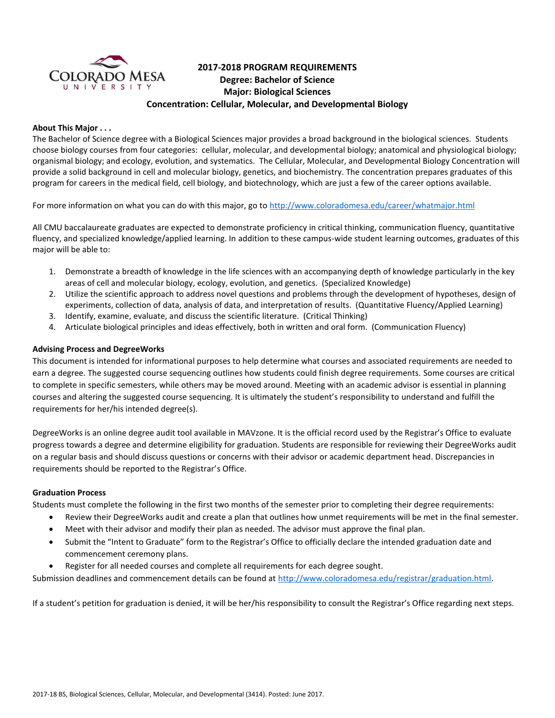

# **2017-2018 PROGRAM REQUIREMENTS Degree: Bachelor of Science Major: Biological Sciences Concentration: Cellular, Molecular, and Developmental Biology**

### **About This Major . . .**

The Bachelor of Science degree with a Biological Sciences major provides a broad background in the biological sciences. Students choose biology courses from four categories: cellular, molecular, and developmental biology; anatomical and physiological biology; organismal biology; and ecology, evolution, and systematics. The Cellular, Molecular, and Developmental Biology Concentration will provide a solid background in cell and molecular biology, genetics, and biochemistry. The concentration prepares graduates of this program for careers in the medical field, cell biology, and biotechnology, which are just a few of the career options available.

For more information on what you can do with this major, go to<http://www.coloradomesa.edu/career/whatmajor.html>

All CMU baccalaureate graduates are expected to demonstrate proficiency in critical thinking, communication fluency, quantitative fluency, and specialized knowledge/applied learning. In addition to these campus-wide student learning outcomes, graduates of this major will be able to:

- 1. Demonstrate a breadth of knowledge in the life sciences with an accompanying depth of knowledge particularly in the key areas of cell and molecular biology, ecology, evolution, and genetics. (Specialized Knowledge)
- 2. Utilize the scientific approach to address novel questions and problems through the development of hypotheses, design of experiments, collection of data, analysis of data, and interpretation of results. (Quantitative Fluency/Applied Learning)
- 3. Identify, examine, evaluate, and discuss the scientific literature. (Critical Thinking)
- 4. Articulate biological principles and ideas effectively, both in written and oral form. (Communication Fluency)

### **Advising Process and DegreeWorks**

This document is intended for informational purposes to help determine what courses and associated requirements are needed to earn a degree. The suggested course sequencing outlines how students could finish degree requirements. Some courses are critical to complete in specific semesters, while others may be moved around. Meeting with an academic advisor is essential in planning courses and altering the suggested course sequencing. It is ultimately the student's responsibility to understand and fulfill the requirements for her/his intended degree(s).

DegreeWorks is an online degree audit tool available in MAVzone. It is the official record used by the Registrar's Office to evaluate progress towards a degree and determine eligibility for graduation. Students are responsible for reviewing their DegreeWorks audit on a regular basis and should discuss questions or concerns with their advisor or academic department head. Discrepancies in requirements should be reported to the Registrar's Office.

#### **Graduation Process**

Students must complete the following in the first two months of the semester prior to completing their degree requirements:

- Review their DegreeWorks audit and create a plan that outlines how unmet requirements will be met in the final semester.
- Meet with their advisor and modify their plan as needed. The advisor must approve the final plan.
- Submit the "Intent to Graduate" form to the Registrar's Office to officially declare the intended graduation date and commencement ceremony plans.
- Register for all needed courses and complete all requirements for each degree sought.

Submission deadlines and commencement details can be found at [http://www.coloradomesa.edu/registrar/graduation.html.](http://www.coloradomesa.edu/registrar/graduation.html)

If a student's petition for graduation is denied, it will be her/his responsibility to consult the Registrar's Office regarding next steps.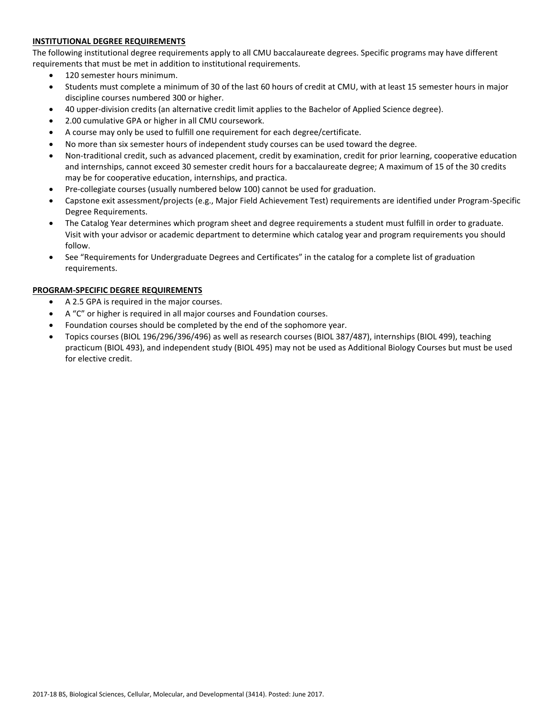# **INSTITUTIONAL DEGREE REQUIREMENTS**

The following institutional degree requirements apply to all CMU baccalaureate degrees. Specific programs may have different requirements that must be met in addition to institutional requirements.

- 120 semester hours minimum.
- Students must complete a minimum of 30 of the last 60 hours of credit at CMU, with at least 15 semester hours in major discipline courses numbered 300 or higher.
- 40 upper-division credits (an alternative credit limit applies to the Bachelor of Applied Science degree).
- 2.00 cumulative GPA or higher in all CMU coursework.
- A course may only be used to fulfill one requirement for each degree/certificate.
- No more than six semester hours of independent study courses can be used toward the degree.
- Non-traditional credit, such as advanced placement, credit by examination, credit for prior learning, cooperative education and internships, cannot exceed 30 semester credit hours for a baccalaureate degree; A maximum of 15 of the 30 credits may be for cooperative education, internships, and practica.
- Pre-collegiate courses (usually numbered below 100) cannot be used for graduation.
- Capstone exit assessment/projects (e.g., Major Field Achievement Test) requirements are identified under Program-Specific Degree Requirements.
- The Catalog Year determines which program sheet and degree requirements a student must fulfill in order to graduate. Visit with your advisor or academic department to determine which catalog year and program requirements you should follow.
- See "Requirements for Undergraduate Degrees and Certificates" in the catalog for a complete list of graduation requirements.

# **PROGRAM-SPECIFIC DEGREE REQUIREMENTS**

- A 2.5 GPA is required in the major courses.
- A "C" or higher is required in all major courses and Foundation courses.
- Foundation courses should be completed by the end of the sophomore year.
- Topics courses (BIOL 196/296/396/496) as well as research courses (BIOL 387/487), internships (BIOL 499), teaching practicum (BIOL 493), and independent study (BIOL 495) may not be used as Additional Biology Courses but must be used for elective credit.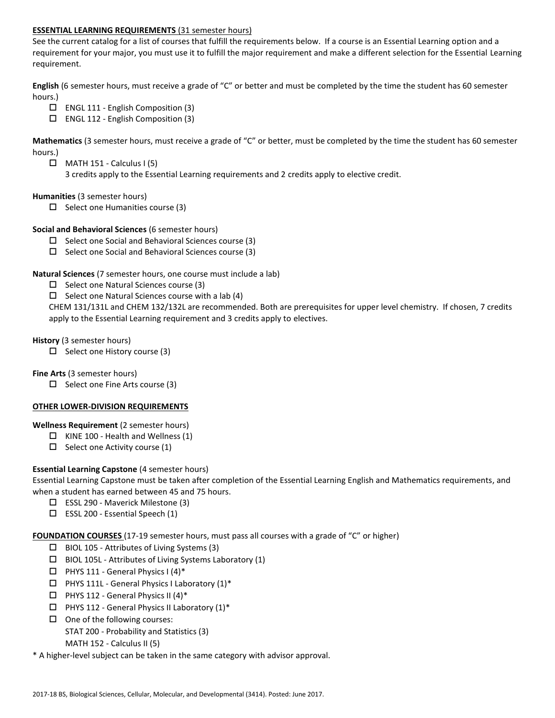# **ESSENTIAL LEARNING REQUIREMENTS** (31 semester hours)

See the current catalog for a list of courses that fulfill the requirements below. If a course is an Essential Learning option and a requirement for your major, you must use it to fulfill the major requirement and make a different selection for the Essential Learning requirement.

**English** (6 semester hours, must receive a grade of "C" or better and must be completed by the time the student has 60 semester hours.)

- $\Box$  ENGL 111 English Composition (3)
- $\Box$  ENGL 112 English Composition (3)

**Mathematics** (3 semester hours, must receive a grade of "C" or better, must be completed by the time the student has 60 semester hours.)

- $\Box$  MATH 151 Calculus I (5)
	- 3 credits apply to the Essential Learning requirements and 2 credits apply to elective credit.

### **Humanities** (3 semester hours)

 $\Box$  Select one Humanities course (3)

### **Social and Behavioral Sciences** (6 semester hours)

- $\Box$  Select one Social and Behavioral Sciences course (3)
- $\Box$  Select one Social and Behavioral Sciences course (3)

### **Natural Sciences** (7 semester hours, one course must include a lab)

- $\Box$  Select one Natural Sciences course (3)
- $\Box$  Select one Natural Sciences course with a lab (4)

CHEM 131/131L and CHEM 132/132L are recommended. Both are prerequisites for upper level chemistry. If chosen, 7 credits apply to the Essential Learning requirement and 3 credits apply to electives.

#### **History** (3 semester hours)

 $\Box$  Select one History course (3)

**Fine Arts** (3 semester hours)

 $\Box$  Select one Fine Arts course (3)

#### **OTHER LOWER-DIVISION REQUIREMENTS**

#### **Wellness Requirement** (2 semester hours)

- $\Box$  KINE 100 Health and Wellness (1)
- $\Box$  Select one Activity course (1)

# **Essential Learning Capstone** (4 semester hours)

Essential Learning Capstone must be taken after completion of the Essential Learning English and Mathematics requirements, and when a student has earned between 45 and 75 hours.

- ESSL 290 Maverick Milestone (3)
- $\square$  ESSL 200 Essential Speech (1)

**FOUNDATION COURSES** (17-19 semester hours, must pass all courses with a grade of "C" or higher)

- $\Box$  BIOL 105 Attributes of Living Systems (3)
- $\Box$  BIOL 105L Attributes of Living Systems Laboratory (1)
- $\Box$  PHYS 111 General Physics I (4)\*
- $\Box$  PHYS 111L General Physics I Laboratory (1)\*
- $\Box$  PHYS 112 General Physics II (4)\*
- $\Box$  PHYS 112 General Physics II Laboratory (1)\*
- $\Box$  One of the following courses:
	- STAT 200 Probability and Statistics (3)
	- MATH 152 Calculus II (5)

\* A higher-level subject can be taken in the same category with advisor approval.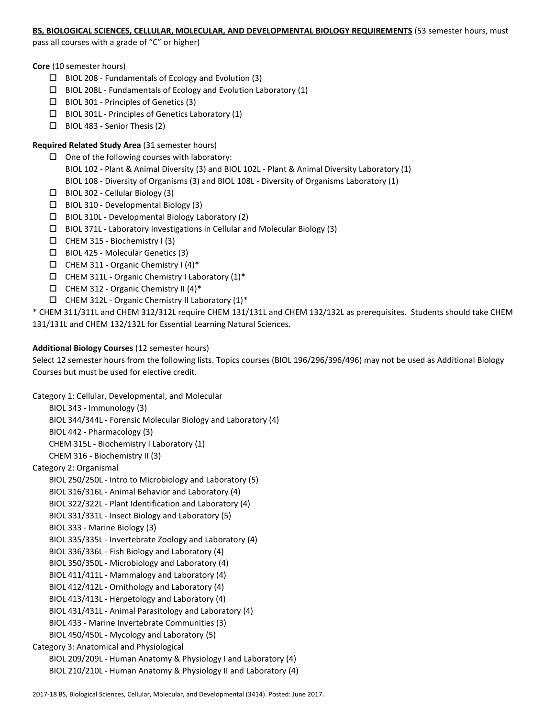#### **BS, BIOLOGICAL SCIENCES, CELLULAR, MOLECULAR, AND DEVELOPMENTAL BIOLOGY REQUIREMENTS** (53 semester hours, must

pass all courses with a grade of "C" or higher)

**Core** (10 semester hours)

- $\Box$  BIOL 208 Fundamentals of Ecology and Evolution (3)
- $\Box$  BIOL 208L Fundamentals of Ecology and Evolution Laboratory (1)
- $\Box$  BIOL 301 Principles of Genetics (3)
- $\square$  BIOL 301L Principles of Genetics Laboratory (1)
- $\Box$  BIOL 483 Senior Thesis (2)

# **Required Related Study Area** (31 semester hours)

- $\Box$  One of the following courses with laboratory: BIOL 102 - Plant & Animal Diversity (3) and BIOL 102L - Plant & Animal Diversity Laboratory (1) BIOL 108 - Diversity of Organisms (3) and BIOL 108L - Diversity of Organisms Laboratory (1)
- $\Box$  BIOL 302 Cellular Biology (3)
- $\square$  BIOL 310 Developmental Biology (3)
- $\Box$  BIOL 310L Developmental Biology Laboratory (2)
- BIOL 371L Laboratory Investigations in Cellular and Molecular Biology (3)
- $\Box$  CHEM 315 Biochemistry I (3)
- BIOL 425 Molecular Genetics (3)
- $\Box$  CHEM 311 Organic Chemistry I (4)\*
- $\Box$  CHEM 311L Organic Chemistry I Laboratory (1)\*
- $\Box$  CHEM 312 Organic Chemistry II (4)\*
- $\Box$  CHEM 312L Organic Chemistry II Laboratory (1)\*

\* CHEM 311/311L and CHEM 312/312L require CHEM 131/131L and CHEM 132/132L as prerequisites. Students should take CHEM 131/131L and CHEM 132/132L for Essential Learning Natural Sciences.

# **Additional Biology Courses** (12 semester hours)

Select 12 semester hours from the following lists. Topics courses (BIOL 196/296/396/496) may not be used as Additional Biology Courses but must be used for elective credit.

Category 1: Cellular, Developmental, and Molecular BIOL 343 - Immunology (3) BIOL 344/344L - Forensic Molecular Biology and Laboratory (4) BIOL 442 - Pharmacology (3) CHEM 315L - Biochemistry I Laboratory (1) CHEM 316 - Biochemistry II (3) Category 2: Organismal BIOL 250/250L - Intro to Microbiology and Laboratory (5) BIOL 316/316L - Animal Behavior and Laboratory (4) BIOL 322/322L - Plant Identification and Laboratory (4) BIOL 331/331L - Insect Biology and Laboratory (5) BIOL 333 - Marine Biology (3) BIOL 335/335L - Invertebrate Zoology and Laboratory (4) BIOL 336/336L - Fish Biology and Laboratory (4) BIOL 350/350L - Microbiology and Laboratory (4) BIOL 411/411L - Mammalogy and Laboratory (4) BIOL 412/412L - Ornithology and Laboratory (4) BIOL 413/413L - Herpetology and Laboratory (4) BIOL 431/431L - Animal Parasitology and Laboratory (4) BIOL 433 - Marine Invertebrate Communities (3) BIOL 450/450L - Mycology and Laboratory (5) Category 3: Anatomical and Physiological BIOL 209/209L - Human Anatomy & Physiology I and Laboratory (4) BIOL 210/210L - Human Anatomy & Physiology II and Laboratory (4)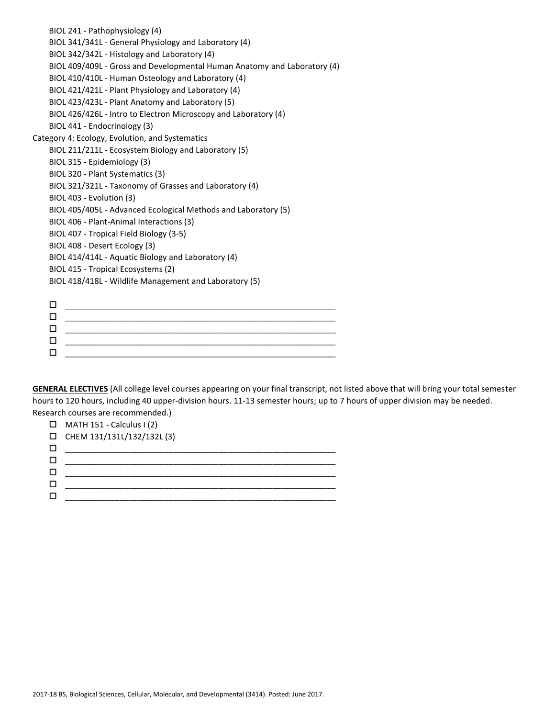| BIOL 241 - Pathophysiology (4)                                           |
|--------------------------------------------------------------------------|
| BIOL 341/341L - General Physiology and Laboratory (4)                    |
| BIOL 342/342L - Histology and Laboratory (4)                             |
| BIOL 409/409L - Gross and Developmental Human Anatomy and Laboratory (4) |
| BIOL 410/410L - Human Osteology and Laboratory (4)                       |
| BIOL 421/421L - Plant Physiology and Laboratory (4)                      |
| BIOL 423/423L - Plant Anatomy and Laboratory (5)                         |
| BIOL 426/426L - Intro to Electron Microscopy and Laboratory (4)          |
| BIOL 441 - Endocrinology (3)                                             |
| Category 4: Ecology, Evolution, and Systematics                          |
| BIOL 211/211L - Ecosystem Biology and Laboratory (5)                     |
| BIOL 315 - Epidemiology (3)                                              |
| BIOL 320 - Plant Systematics (3)                                         |
| BIOL 321/321L - Taxonomy of Grasses and Laboratory (4)                   |
| BIOL 403 - Evolution (3)                                                 |
| BIOL 405/405L - Advanced Ecological Methods and Laboratory (5)           |
| BIOL 406 - Plant-Animal Interactions (3)                                 |
| BIOL 407 - Tropical Field Biology (3-5)                                  |
| BIOL 408 - Desert Ecology (3)                                            |
| BIOL 414/414L - Aquatic Biology and Laboratory (4)                       |
| BIOL 415 - Tropical Ecosystems (2)                                       |
| BIOL 418/418L - Wildlife Management and Laboratory (5)                   |
|                                                                          |
| □                                                                        |
| □                                                                        |

 \_\_\_\_\_\_\_\_\_\_\_\_\_\_\_\_\_\_\_\_\_\_\_\_\_\_\_\_\_\_\_\_\_\_\_\_\_\_\_\_\_\_\_\_\_\_\_\_\_\_\_\_\_\_\_\_\_\_\_\_  $\Box$  , and the contract of the contract of the contract of the contract of the contract of the contract of the contract of the contract of the contract of the contract of the contract of the contract of the contract of th

\_\_\_\_\_\_\_\_\_\_\_\_\_\_\_\_\_\_\_\_\_\_\_\_\_\_\_\_\_\_\_\_\_\_\_\_\_\_\_\_\_\_\_\_\_\_\_\_\_\_\_\_\_\_\_\_\_\_\_\_

**GENERAL ELECTIVES** (All college level courses appearing on your final transcript, not listed above that will bring your total semester hours to 120 hours, including 40 upper-division hours. 11-13 semester hours; up to 7 hours of upper division may be needed. Research courses are recommended.)